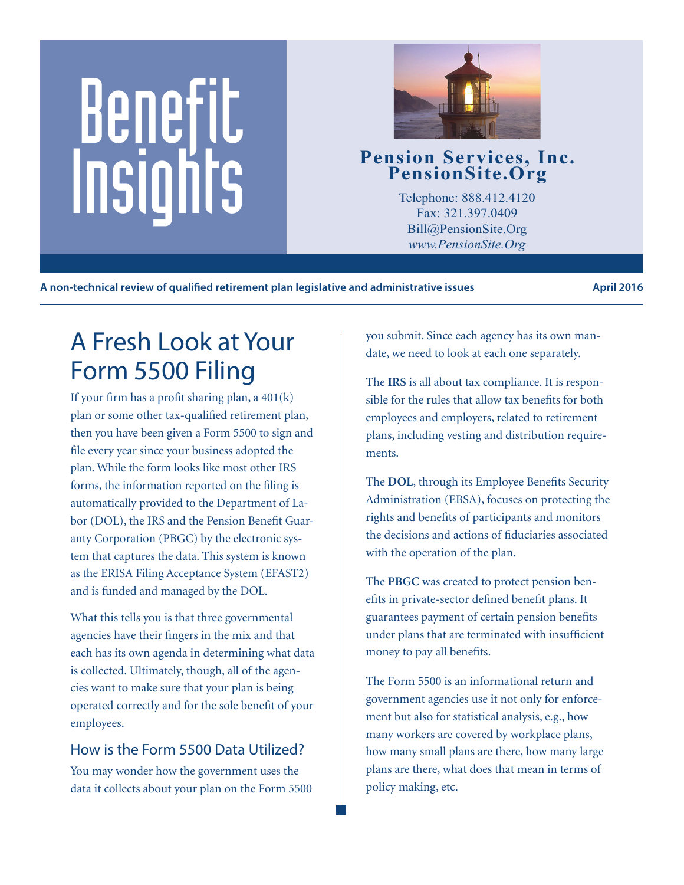# Benefit Pension Services, Inc.<br>
PensionSite.Org<br>
Telephone: 888.412.4120<br>
Fax: 321.397.0409<br>
Pill@BensionSite.Org<br>
Pill@BensionSite.Org



Telephone: 888.412.4120 Fax: 321.397.0409 Bill@PensionSite.Org *www.PensionSite.Org*

**A non-technical review of qualified retirement plan legislative and administrative issues April 2016**

# A Fresh Look at Your Form 5500 Filing

If your firm has a profit sharing plan, a  $401(k)$ plan or some other tax-qualified retirement plan, then you have been given a Form 5500 to sign and file every year since your business adopted the plan. While the form looks like most other IRS forms, the information reported on the filing is automatically provided to the Department of Labor (DOL), the IRS and the Pension Benefit Guaranty Corporation (PBGC) by the electronic system that captures the data. This system is known as the ERISA Filing Acceptance System (EFAST2) and is funded and managed by the DOL.

What this tells you is that three governmental agencies have their fingers in the mix and that each has its own agenda in determining what data is collected. Ultimately, though, all of the agencies want to make sure that your plan is being operated correctly and for the sole benefit of your employees.

## How is the Form 5500 Data Utilized?

You may wonder how the government uses the data it collects about your plan on the Form 5500 you submit. Since each agency has its own mandate, we need to look at each one separately.

The **IRS** is all about tax compliance. It is responsible for the rules that allow tax benefits for both employees and employers, related to retirement plans, including vesting and distribution requirements.

The **DOL**, through its Employee Benefits Security Administration (EBSA), focuses on protecting the rights and benefits of participants and monitors the decisions and actions of fiduciaries associated with the operation of the plan.

The **PBGC** was created to protect pension benefits in private-sector defined benefit plans. It guarantees payment of certain pension benefits under plans that are terminated with insufficient money to pay all benefits.

The Form 5500 is an informational return and government agencies use it not only for enforcement but also for statistical analysis, e.g., how many workers are covered by workplace plans, how many small plans are there, how many large plans are there, what does that mean in terms of policy making, etc.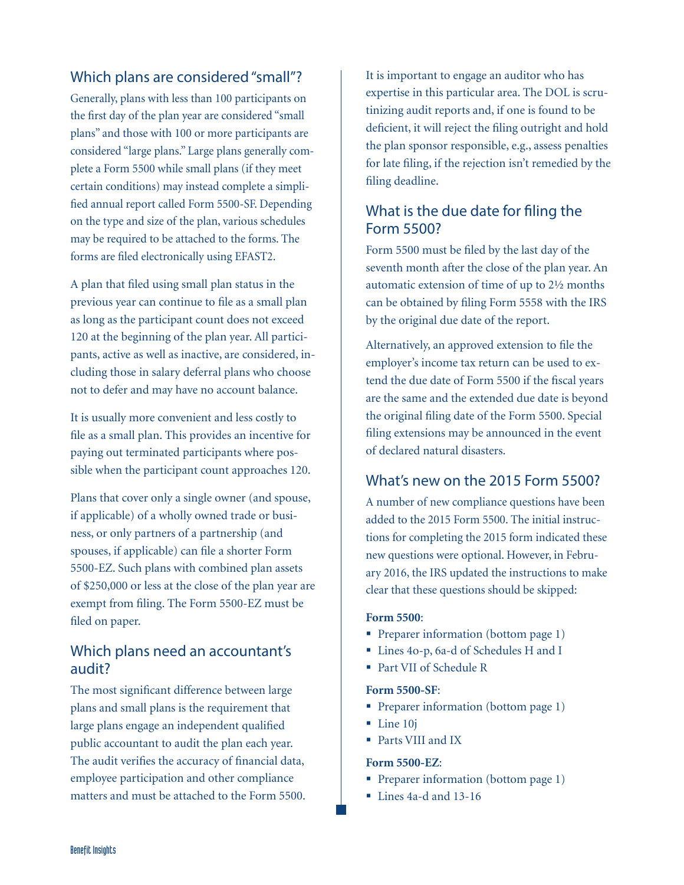#### Which plans are considered "small"?

Generally, plans with less than 100 participants on the first day of the plan year are considered "small plans" and those with 100 or more participants are considered "large plans." Large plans generally complete a Form 5500 while small plans (if they meet certain conditions) may instead complete a simplified annual report called Form 5500-SF. Depending on the type and size of the plan, various schedules may be required to be attached to the forms. The forms are filed electronically using EFAST2.

A plan that filed using small plan status in the previous year can continue to file as a small plan as long as the participant count does not exceed 120 at the beginning of the plan year. All participants, active as well as inactive, are considered, including those in salary deferral plans who choose not to defer and may have no account balance.

It is usually more convenient and less costly to file as a small plan. This provides an incentive for paying out terminated participants where possible when the participant count approaches 120.

Plans that cover only a single owner (and spouse, if applicable) of a wholly owned trade or business, or only partners of a partnership (and spouses, if applicable) can file a shorter Form 5500-EZ. Such plans with combined plan assets of \$250,000 or less at the close of the plan year are exempt from filing. The Form 5500-EZ must be filed on paper.

### Which plans need an accountant's audit?

The most significant difference between large plans and small plans is the requirement that large plans engage an independent qualified public accountant to audit the plan each year. The audit verifies the accuracy of financial data, employee participation and other compliance matters and must be attached to the Form 5500. It is important to engage an auditor who has expertise in this particular area. The DOL is scrutinizing audit reports and, if one is found to be deficient, it will reject the filing outright and hold the plan sponsor responsible, e.g., assess penalties for late filing, if the rejection isn't remedied by the filing deadline.

#### What is the due date for filing the Form 5500?

Form 5500 must be filed by the last day of the seventh month after the close of the plan year. An automatic extension of time of up to 2½ months can be obtained by filing Form 5558 with the IRS by the original due date of the report.

Alternatively, an approved extension to file the employer's income tax return can be used to extend the due date of Form 5500 if the fiscal years are the same and the extended due date is beyond the original filing date of the Form 5500. Special filing extensions may be announced in the event of declared natural disasters.

#### What's new on the 2015 Form 5500?

A number of new compliance questions have been added to the 2015 Form 5500. The initial instructions for completing the 2015 form indicated these new questions were optional. However, in February 2016, the IRS updated the instructions to make clear that these questions should be skipped:

#### **Form 5500**:

- Preparer information (bottom page 1)
- Lines 4o-p, 6a-d of Schedules H and I
- Part VII of Schedule R

#### **Form 5500-SF**:

- Preparer information (bottom page 1)
- Line 10j
- Parts VIII and IX

#### **Form 5500-EZ**:

- Preparer information (bottom page 1)
- Lines 4a-d and 13-16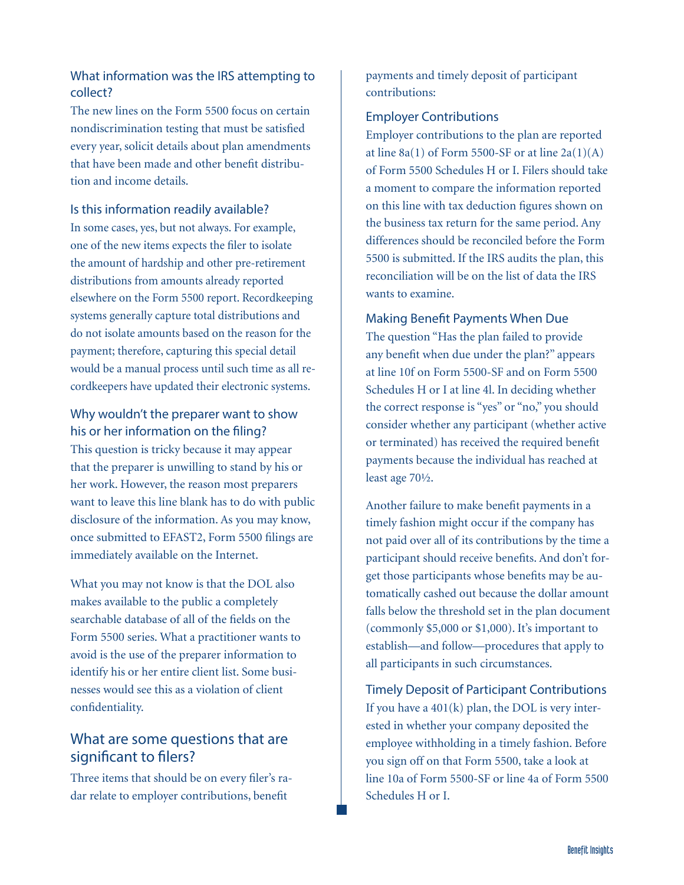#### What information was the IRS attempting to collect?

The new lines on the Form 5500 focus on certain nondiscrimination testing that must be satisfied every year, solicit details about plan amendments that have been made and other benefit distribution and income details.

#### Is this information readily available?

In some cases, yes, but not always. For example, one of the new items expects the filer to isolate the amount of hardship and other pre-retirement distributions from amounts already reported elsewhere on the Form 5500 report. Recordkeeping systems generally capture total distributions and do not isolate amounts based on the reason for the payment; therefore, capturing this special detail would be a manual process until such time as all recordkeepers have updated their electronic systems.

#### Why wouldn't the preparer want to show his or her information on the filing?

This question is tricky because it may appear that the preparer is unwilling to stand by his or her work. However, the reason most preparers want to leave this line blank has to do with public disclosure of the information. As you may know, once submitted to EFAST2, Form 5500 filings are immediately available on the Internet.

What you may not know is that the DOL also makes available to the public a completely searchable database of all of the fields on the Form 5500 series. What a practitioner wants to avoid is the use of the preparer information to identify his or her entire client list. Some businesses would see this as a violation of client confidentiality.

### What are some questions that are significant to filers?

Three items that should be on every filer's radar relate to employer contributions, benefit

payments and timely deposit of participant contributions:

#### Employer Contributions

Employer contributions to the plan are reported at line  $8a(1)$  of Form 5500-SF or at line  $2a(1)(A)$ of Form 5500 Schedules H or I. Filers should take a moment to compare the information reported on this line with tax deduction figures shown on the business tax return for the same period. Any differences should be reconciled before the Form 5500 is submitted. If the IRS audits the plan, this reconciliation will be on the list of data the IRS wants to examine.

#### Making Benefit Payments When Due

The question "Has the plan failed to provide any benefit when due under the plan?" appears at line 10f on Form 5500-SF and on Form 5500 Schedules H or I at line 4l. In deciding whether the correct response is "yes" or "no," you should consider whether any participant (whether active or terminated) has received the required benefit payments because the individual has reached at least age 70½.

Another failure to make benefit payments in a timely fashion might occur if the company has not paid over all of its contributions by the time a participant should receive benefits. And don't forget those participants whose benefits may be automatically cashed out because the dollar amount falls below the threshold set in the plan document (commonly \$5,000 or \$1,000). It's important to establish—and follow—procedures that apply to all participants in such circumstances.

Timely Deposit of Participant Contributions If you have a 401(k) plan, the DOL is very interested in whether your company deposited the employee withholding in a timely fashion. Before you sign off on that Form 5500, take a look at line 10a of Form 5500-SF or line 4a of Form 5500 Schedules H or I.